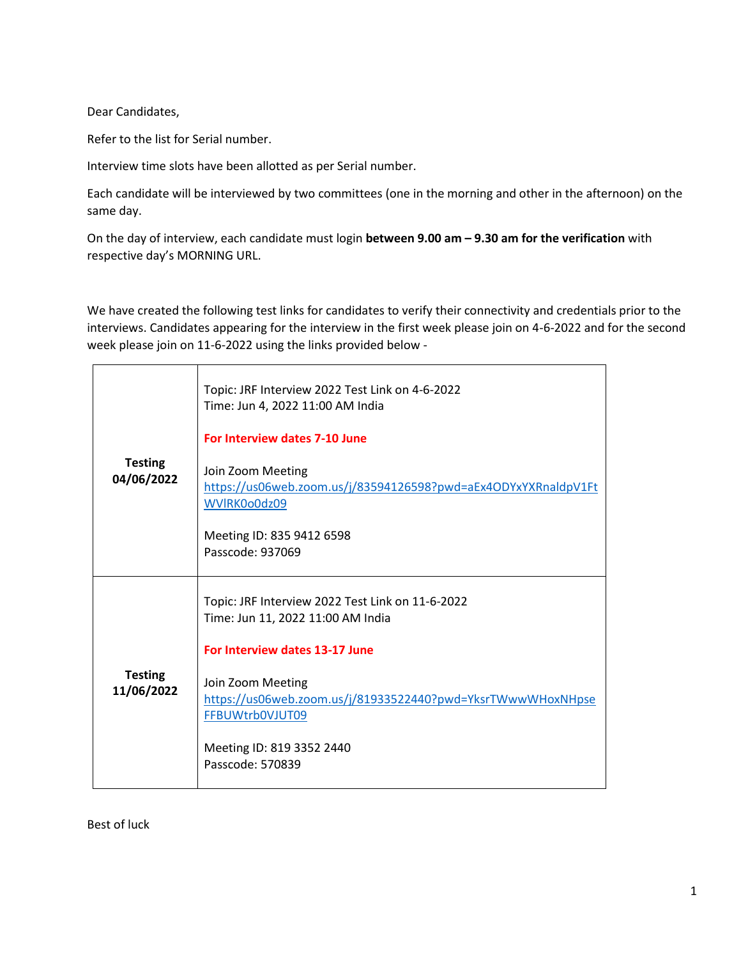Dear Candidates,

Refer to the list for Serial number.

Interview time slots have been allotted as per Serial number.

Each candidate will be interviewed by two committees (one in the morning and other in the afternoon) on the same day.

On the day of interview, each candidate must login **between 9.00 am – 9.30 am for the verification** with respective day's MORNING URL.

We have created the following test links for candidates to verify their connectivity and credentials prior to the interviews. Candidates appearing for the interview in the first week please join on 4-6-2022 and for the second week please join on 11-6-2022 using the links provided below -

| <b>Testing</b><br>04/06/2022 | Topic: JRF Interview 2022 Test Link on 4-6-2022<br>Time: Jun 4, 2022 11:00 AM India<br>For Interview dates 7-10 June             |
|------------------------------|----------------------------------------------------------------------------------------------------------------------------------|
|                              | Join Zoom Meeting<br>https://us06web.zoom.us/j/83594126598?pwd=aEx4ODYxYXRnaldpV1Ft<br>WVIRK0o0dz09<br>Meeting ID: 835 9412 6598 |
|                              | Passcode: 937069                                                                                                                 |
|                              | Topic: JRF Interview 2022 Test Link on 11-6-2022<br>Time: Jun 11, 2022 11:00 AM India                                            |
|                              | For Interview dates 13-17 June                                                                                                   |
| <b>Testing</b><br>11/06/2022 | Join Zoom Meeting<br>https://us06web.zoom.us/j/81933522440?pwd=YksrTWwwWHoxNHpse<br>FFBUWtrb0VJUT09                              |
|                              | Meeting ID: 819 3352 2440<br>Passcode: 570839                                                                                    |

Best of luck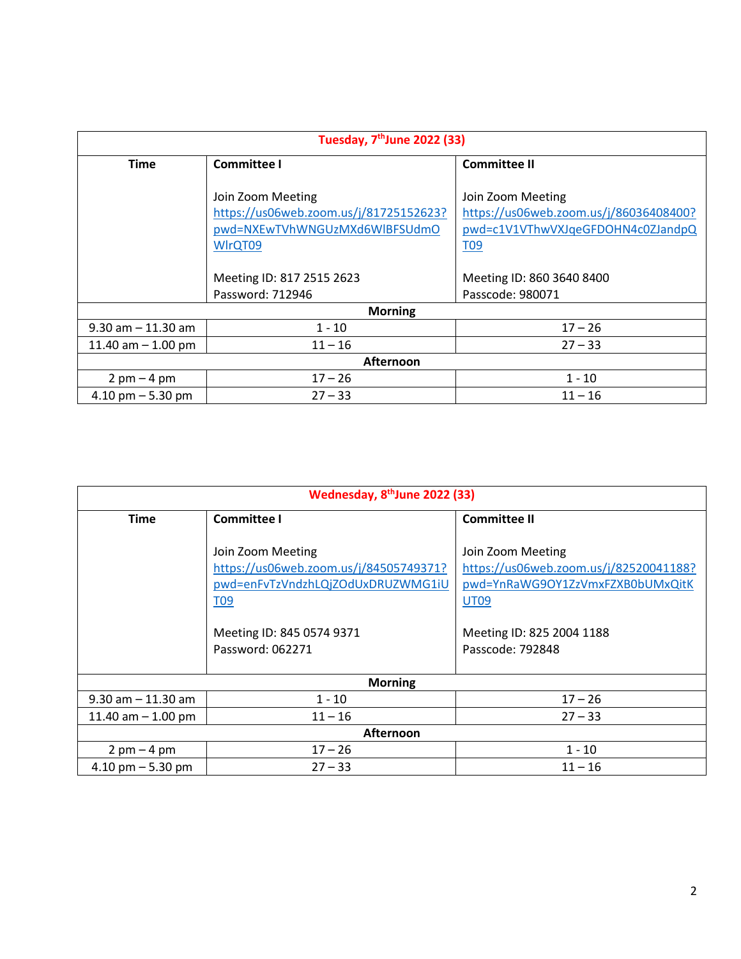| Tuesday, 7 <sup>th</sup> June 2022 (33) |                                                                                                                                                          |                                                                                                                                                                 |
|-----------------------------------------|----------------------------------------------------------------------------------------------------------------------------------------------------------|-----------------------------------------------------------------------------------------------------------------------------------------------------------------|
| <b>Time</b>                             | <b>Committee I</b>                                                                                                                                       | <b>Committee II</b>                                                                                                                                             |
|                                         | Join Zoom Meeting<br>https://us06web.zoom.us/j/81725152623?<br>pwd=NXEwTVhWNGUzMXd6WlBFSUdmO<br>WIrQT09<br>Meeting ID: 817 2515 2623<br>Password: 712946 | Join Zoom Meeting<br>https://us06web.zoom.us/j/86036408400?<br>pwd=c1V1VThwVXJqeGFDOHN4c0ZJandpQ<br><b>T09</b><br>Meeting ID: 860 3640 8400<br>Passcode: 980071 |
|                                         | <b>Morning</b>                                                                                                                                           |                                                                                                                                                                 |
|                                         |                                                                                                                                                          |                                                                                                                                                                 |
| $9.30$ am $-11.30$ am                   | $1 - 10$                                                                                                                                                 | $17 - 26$                                                                                                                                                       |
| 11.40 am $-$ 1.00 pm                    | $11 - 16$                                                                                                                                                | $27 - 33$                                                                                                                                                       |
| <b>Afternoon</b>                        |                                                                                                                                                          |                                                                                                                                                                 |
| $2$ pm $-4$ pm                          | $17 - 26$                                                                                                                                                | $1 - 10$                                                                                                                                                        |
| $4.10$ pm $-5.30$ pm                    | $27 - 33$                                                                                                                                                | $11 - 16$                                                                                                                                                       |

| Wednesday, 8 <sup>th</sup> June 2022 (33) |                                                                                                                                                                 |                                                                                                                                                                 |
|-------------------------------------------|-----------------------------------------------------------------------------------------------------------------------------------------------------------------|-----------------------------------------------------------------------------------------------------------------------------------------------------------------|
| <b>Time</b>                               | <b>Committee I</b>                                                                                                                                              | <b>Committee II</b>                                                                                                                                             |
|                                           | Join Zoom Meeting<br>https://us06web.zoom.us/j/84505749371?<br>pwd=enFvTzVndzhLQjZOdUxDRUZWMG1iU<br><b>T09</b><br>Meeting ID: 845 0574 9371<br>Password: 062271 | Join Zoom Meeting<br>https://us06web.zoom.us/j/82520041188?<br>pwd=YnRaWG9OY1ZzVmxFZXB0bUMxQitK<br><b>UT09</b><br>Meeting ID: 825 2004 1188<br>Passcode: 792848 |
| <b>Morning</b>                            |                                                                                                                                                                 |                                                                                                                                                                 |
| $9.30$ am $-11.30$ am                     | $1 - 10$                                                                                                                                                        | $17 - 26$                                                                                                                                                       |
| 11.40 am $-$ 1.00 pm                      | $11 - 16$                                                                                                                                                       | $27 - 33$                                                                                                                                                       |
| Afternoon                                 |                                                                                                                                                                 |                                                                                                                                                                 |
| $2$ pm $-$ 4 pm                           | $17 - 26$                                                                                                                                                       | $1 - 10$                                                                                                                                                        |
| 4.10 pm $-$ 5.30 pm                       | $27 - 33$                                                                                                                                                       | $11 - 16$                                                                                                                                                       |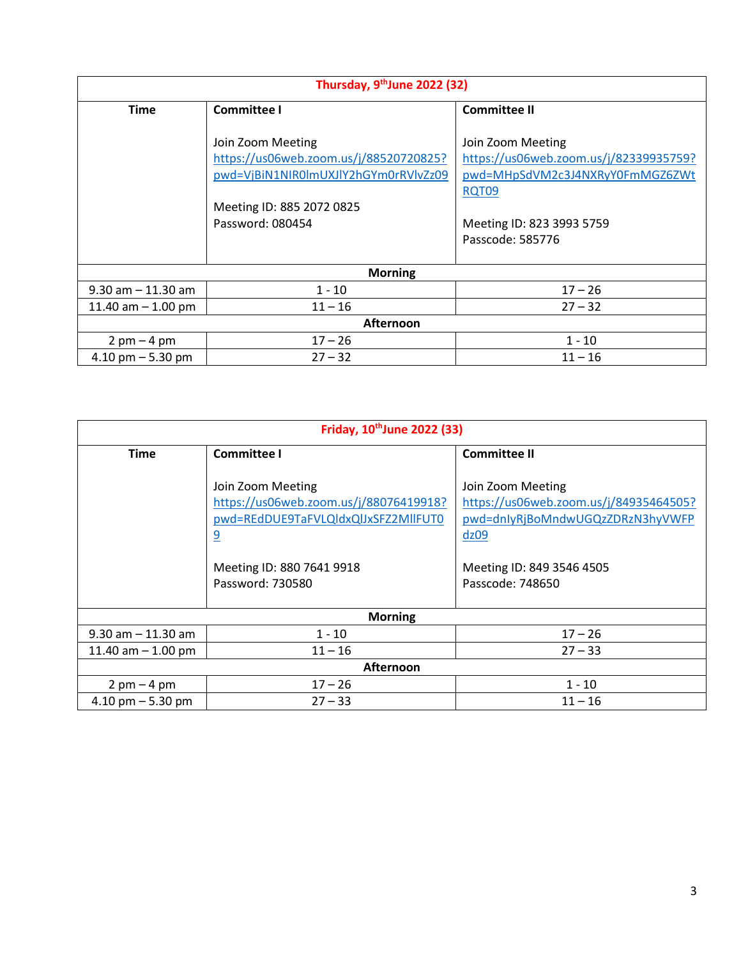| Thursday, 9th June 2022 (32)  |                                                                                                                                                      |                                                                                                                                                          |
|-------------------------------|------------------------------------------------------------------------------------------------------------------------------------------------------|----------------------------------------------------------------------------------------------------------------------------------------------------------|
| <b>Time</b>                   | <b>Committee I</b>                                                                                                                                   | <b>Committee II</b>                                                                                                                                      |
|                               | Join Zoom Meeting<br>https://us06web.zoom.us/j/88520720825?<br>pwd=VjBiN1NIR0lmUXJlY2hGYm0rRVlvZz09<br>Meeting ID: 885 2072 0825<br>Password: 080454 | Join Zoom Meeting<br>https://us06web.zoom.us/j/82339935759?<br>pwd=MHpSdVM2c3J4NXRyY0FmMGZ6ZWt<br>RQT09<br>Meeting ID: 823 3993 5759<br>Passcode: 585776 |
| <b>Morning</b>                |                                                                                                                                                      |                                                                                                                                                          |
| $9.30$ am $- 11.30$ am        | $1 - 10$                                                                                                                                             | $17 - 26$                                                                                                                                                |
| 11.40 am $-$ 1.00 pm          | $11 - 16$                                                                                                                                            | $27 - 32$                                                                                                                                                |
| Afternoon                     |                                                                                                                                                      |                                                                                                                                                          |
| $2 \text{ pm} - 4 \text{ pm}$ | $17 - 26$                                                                                                                                            | $1 - 10$                                                                                                                                                 |
| $4.10$ pm $-5.30$ pm          | $27 - 32$                                                                                                                                            | $11 - 16$                                                                                                                                                |

| Friday, 10 <sup>th</sup> June 2022 (33) |                                                                                                                                                                       |                                                                                                                                                          |
|-----------------------------------------|-----------------------------------------------------------------------------------------------------------------------------------------------------------------------|----------------------------------------------------------------------------------------------------------------------------------------------------------|
| <b>Time</b>                             | <b>Committee I</b>                                                                                                                                                    | <b>Committee II</b>                                                                                                                                      |
|                                         | Join Zoom Meeting<br>https://us06web.zoom.us/j/88076419918?<br>pwd=REdDUE9TaFVLQldxQlJxSFZ2MllFUT0<br>$\overline{9}$<br>Meeting ID: 880 7641 9918<br>Password: 730580 | Join Zoom Meeting<br>https://us06web.zoom.us/j/84935464505?<br>pwd=dnlyRjBoMndwUGQzZDRzN3hyVWFP<br>dz09<br>Meeting ID: 849 3546 4505<br>Passcode: 748650 |
| <b>Morning</b>                          |                                                                                                                                                                       |                                                                                                                                                          |
| $9.30$ am $-11.30$ am                   | $1 - 10$                                                                                                                                                              | $17 - 26$                                                                                                                                                |
| 11.40 am $-$ 1.00 pm                    | $11 - 16$                                                                                                                                                             | $27 - 33$                                                                                                                                                |
| Afternoon                               |                                                                                                                                                                       |                                                                                                                                                          |
| $2$ pm $-4$ pm                          | $17 - 26$                                                                                                                                                             | $1 - 10$                                                                                                                                                 |
| $4.10$ pm $-5.30$ pm                    | $27 - 33$                                                                                                                                                             | $11 - 16$                                                                                                                                                |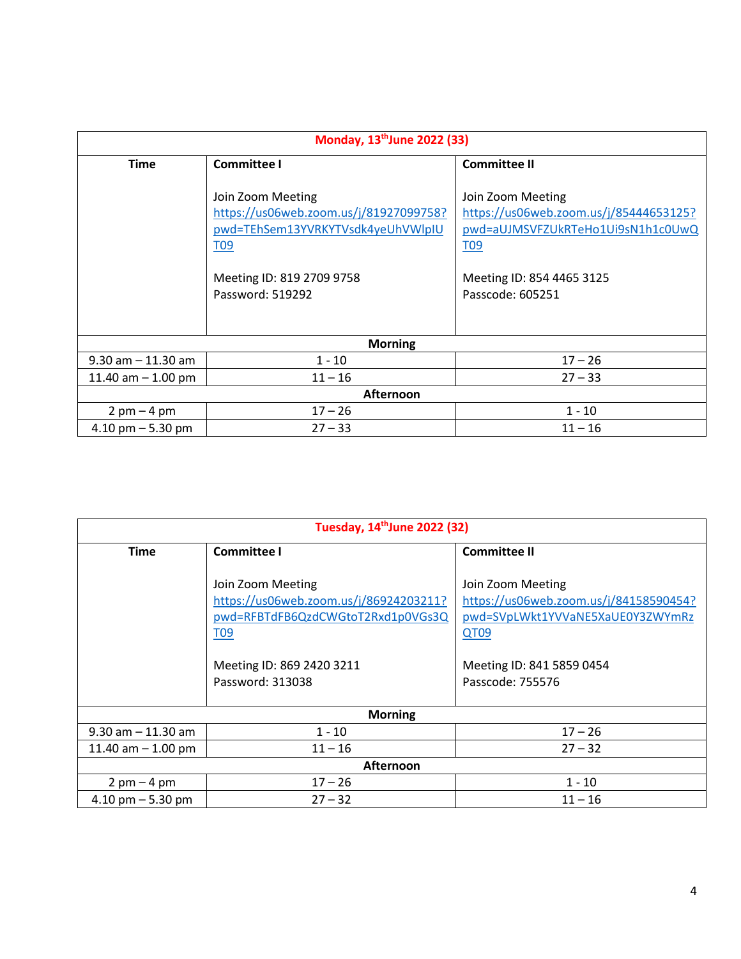| Monday, 13 <sup>th</sup> June 2022 (33) |                                                                                                                                                                      |                                                                                                                                                                      |
|-----------------------------------------|----------------------------------------------------------------------------------------------------------------------------------------------------------------------|----------------------------------------------------------------------------------------------------------------------------------------------------------------------|
| <b>Time</b>                             | <b>Committee I</b>                                                                                                                                                   | <b>Committee II</b>                                                                                                                                                  |
|                                         | Join Zoom Meeting<br>https://us06web.zoom.us/j/81927099758?<br>pwd=TEhSem13YVRKYTVsdk4yeUhVWlpIU<br>T <sub>09</sub><br>Meeting ID: 819 2709 9758<br>Password: 519292 | Join Zoom Meeting<br>https://us06web.zoom.us/j/85444653125?<br>pwd=aUJMSVFZUkRTeHo1Ui9sN1h1c0UwQ<br>T <sub>09</sub><br>Meeting ID: 854 4465 3125<br>Passcode: 605251 |
|                                         |                                                                                                                                                                      |                                                                                                                                                                      |
| <b>Morning</b>                          |                                                                                                                                                                      |                                                                                                                                                                      |
| $9.30$ am $-11.30$ am                   | $1 - 10$                                                                                                                                                             | $17 - 26$                                                                                                                                                            |
| 11.40 am $-$ 1.00 pm                    | $11 - 16$                                                                                                                                                            | $27 - 33$                                                                                                                                                            |
| Afternoon                               |                                                                                                                                                                      |                                                                                                                                                                      |
| $2$ pm $-$ 4 pm                         | $17 - 26$                                                                                                                                                            | $1 - 10$                                                                                                                                                             |
| 4.10 pm $-$ 5.30 pm                     | $27 - 33$                                                                                                                                                            | $11 - 16$                                                                                                                                                            |

| Tuesday, 14 <sup>th</sup> June 2022 (32) |                                                                                                                                                                      |                                                                                                                                                                 |
|------------------------------------------|----------------------------------------------------------------------------------------------------------------------------------------------------------------------|-----------------------------------------------------------------------------------------------------------------------------------------------------------------|
| <b>Time</b>                              | <b>Committee I</b>                                                                                                                                                   | <b>Committee II</b>                                                                                                                                             |
|                                          | Join Zoom Meeting<br>https://us06web.zoom.us/j/86924203211?<br>pwd=RFBTdFB6QzdCWGtoT2Rxd1p0VGs3Q<br>T <sub>09</sub><br>Meeting ID: 869 2420 3211<br>Password: 313038 | Join Zoom Meeting<br>https://us06web.zoom.us/j/84158590454?<br>pwd=SVpLWkt1YVVaNE5XaUE0Y3ZWYmRz<br><b>QT09</b><br>Meeting ID: 841 5859 0454<br>Passcode: 755576 |
| <b>Morning</b>                           |                                                                                                                                                                      |                                                                                                                                                                 |
| $9.30$ am $-11.30$ am                    | $1 - 10$                                                                                                                                                             | $17 - 26$                                                                                                                                                       |
| 11.40 am $-$ 1.00 pm                     | $11 - 16$                                                                                                                                                            | $27 - 32$                                                                                                                                                       |
| <b>Afternoon</b>                         |                                                                                                                                                                      |                                                                                                                                                                 |
| $2$ pm $-4$ pm                           | $17 - 26$                                                                                                                                                            | $1 - 10$                                                                                                                                                        |
| 4.10 pm $-$ 5.30 pm                      | $27 - 32$                                                                                                                                                            | $11 - 16$                                                                                                                                                       |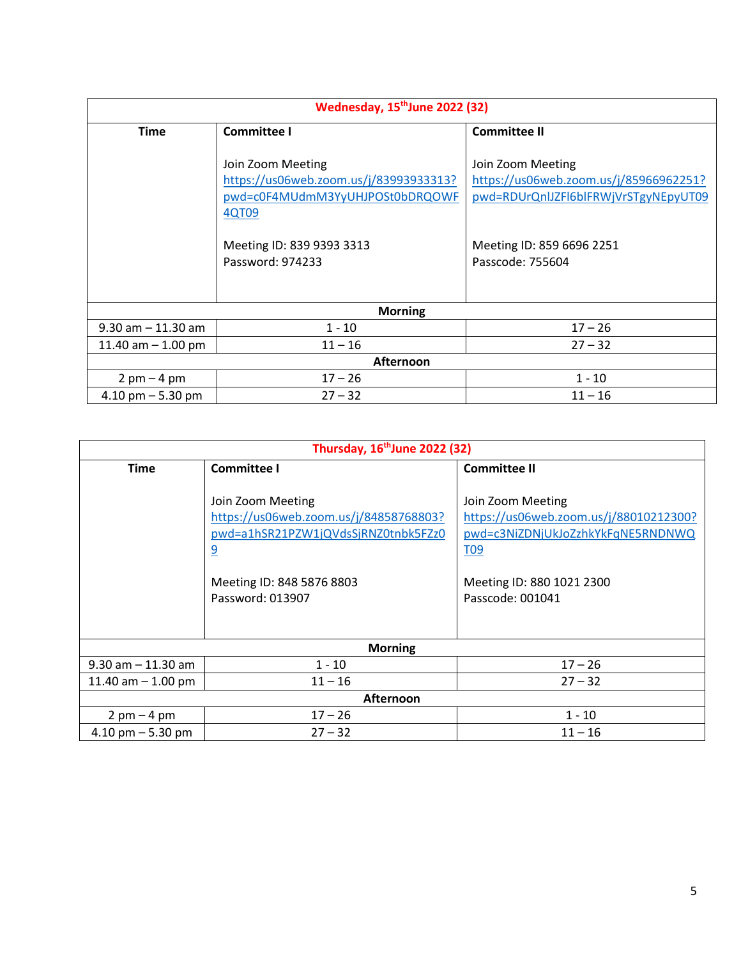| Wednesday, 15 <sup>th</sup> June 2022 (32) |                                                                                                                                                          |                                                                                                                                                      |
|--------------------------------------------|----------------------------------------------------------------------------------------------------------------------------------------------------------|------------------------------------------------------------------------------------------------------------------------------------------------------|
| <b>Time</b>                                | <b>Committee I</b>                                                                                                                                       | <b>Committee II</b>                                                                                                                                  |
|                                            | Join Zoom Meeting<br>https://us06web.zoom.us/j/83993933313?<br>pwd=c0F4MUdmM3YyUHJPOSt0bDRQOWF<br>4QT09<br>Meeting ID: 839 9393 3313<br>Password: 974233 | Join Zoom Meeting<br>https://us06web.zoom.us/j/85966962251?<br>pwd=RDUrQnlJZFl6blFRWjVrSTgyNEpyUT09<br>Meeting ID: 859 6696 2251<br>Passcode: 755604 |
| <b>Morning</b>                             |                                                                                                                                                          |                                                                                                                                                      |
| $9.30$ am $-11.30$ am                      | $1 - 10$                                                                                                                                                 | $17 - 26$                                                                                                                                            |
| 11.40 am $-$ 1.00 pm                       | $11 - 16$                                                                                                                                                | $27 - 32$                                                                                                                                            |
| <b>Afternoon</b>                           |                                                                                                                                                          |                                                                                                                                                      |
| $2$ pm $-4$ pm                             | $17 - 26$                                                                                                                                                | $1 - 10$                                                                                                                                             |
| 4.10 pm $-$ 5.30 pm                        | $27 - 32$                                                                                                                                                | $11 - 16$                                                                                                                                            |

| Thursday, 16 <sup>th</sup> June 2022 (32) |                                                                                                                                                                       |                                                                                                                                                                      |
|-------------------------------------------|-----------------------------------------------------------------------------------------------------------------------------------------------------------------------|----------------------------------------------------------------------------------------------------------------------------------------------------------------------|
| <b>Time</b>                               | <b>Committee I</b>                                                                                                                                                    | <b>Committee II</b>                                                                                                                                                  |
|                                           | Join Zoom Meeting<br>https://us06web.zoom.us/j/84858768803?<br>pwd=a1hSR21PZW1jQVdsSjRNZ0tnbk5FZz0<br>$\overline{9}$<br>Meeting ID: 848 5876 8803<br>Password: 013907 | Join Zoom Meeting<br>https://us06web.zoom.us/j/88010212300?<br>pwd=c3NiZDNjUkJoZzhkYkFqNE5RNDNWQ<br>T <sub>09</sub><br>Meeting ID: 880 1021 2300<br>Passcode: 001041 |
| <b>Morning</b>                            |                                                                                                                                                                       |                                                                                                                                                                      |
| $9.30$ am $-11.30$ am                     | $1 - 10$                                                                                                                                                              | $17 - 26$                                                                                                                                                            |
| 11.40 am $-$ 1.00 pm                      | $11 - 16$                                                                                                                                                             | $27 - 32$                                                                                                                                                            |
| Afternoon                                 |                                                                                                                                                                       |                                                                                                                                                                      |
| $2 \text{ pm} - 4 \text{ pm}$             | $17 - 26$                                                                                                                                                             | $1 - 10$                                                                                                                                                             |
| 4.10 pm $-$ 5.30 pm                       | $27 - 32$                                                                                                                                                             | $11 - 16$                                                                                                                                                            |